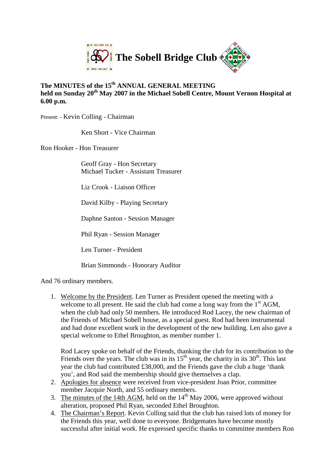

#### **The MINUTES of the 15th ANNUAL GENERAL MEETING held on Sunday 20th May 2007 in the Michael Sobell Centre, Mount Vernon Hospital at 6.00 p.m.**

Present: - Kevin Colling - Chairman

Ken Short - Vice Chairman

Ron Hooker - Hon Treasurer

Geoff Gray - Hon Secretary Michael Tucker - Assistant Treasurer

Liz Crook - Liaison Officer

David Kilby - Playing Secretary

Daphne Santon - Session Manager

Phil Ryan - Session Manager

Len Turner - President

Brian Simmonds - Honorary Auditor

And 76 ordinary members.

1. Welcome by the President. Len Turner as President opened the meeting with a welcome to all present. He said the club had come a long way from the  $1<sup>st</sup> AGM$ , when the club had only 50 members. He introduced Rod Lacey, the new chairman of the Friends of Michael Sobell house, as a special guest. Rod had been instrumental and had done excellent work in the development of the new building. Len also gave a special welcome to Ethel Broughton, as member number 1.

Rod Lacey spoke on behalf of the Friends, thanking the club for its contribution to the Friends over the years. The club was in its  $15<sup>th</sup>$  year, the charity in its  $30<sup>th</sup>$ . This last year the club had contributed £38,000, and the Friends gave the club a huge 'thank you', and Rod said the membership should give themselves a clap.

- 2. Apologies for absence were received from vice-president Joan Prior, committee member Jacquie North, and 55 ordinary members.
- 3. The minutes of the 14th AGM, held on the  $14<sup>th</sup>$  May 2006, were approved without alteration, proposed Phil Ryan, seconded Ethel Broughton.
- 4. The Chairman's Report. Kevin Colling said that the club has raised lots of money for the Friends this year, well done to everyone. Bridgemates have become mostly successful after initial work. He expressed specific thanks to committee members Ron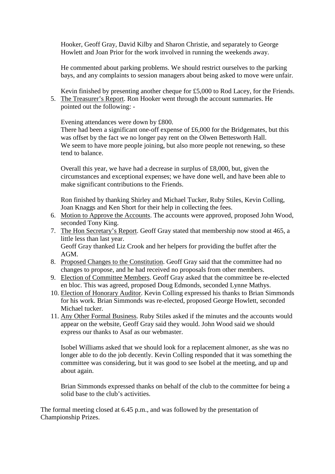Hooker, Geoff Gray, David Kilby and Sharon Christie, and separately to George Howlett and Joan Prior for the work involved in running the weekends away.

He commented about parking problems. We should restrict ourselves to the parking bays, and any complaints to session managers about being asked to move were unfair.

Kevin finished by presenting another cheque for £5,000 to Rod Lacey, for the Friends. 5. The Treasurer's Report. Ron Hooker went through the account summaries. He pointed out the following: -

Evening attendances were down by £800.

There had been a significant one-off expense of £6,000 for the Bridgemates, but this was offset by the fact we no longer pay rent on the Olwen Bettesworth Hall. We seem to have more people joining, but also more people not renewing, so these tend to balance.

Overall this year, we have had a decrease in surplus of £8,000, but, given the circumstances and exceptional expenses; we have done well, and have been able to make significant contributions to the Friends.

Ron finished by thanking Shirley and Michael Tucker, Ruby Stiles, Kevin Colling, Joan Knaggs and Ken Short for their help in collecting the fees.

- 6. Motion to Approve the Accounts. The accounts were approved, proposed John Wood, seconded Tony King.
- 7. The Hon Secretary's Report. Geoff Gray stated that membership now stood at 465, a little less than last year. Geoff Gray thanked Liz Crook and her helpers for providing the buffet after the
- AGM. 8. Proposed Changes to the Constitution. Geoff Gray said that the committee had no changes to propose, and he had received no proposals from other members.
- 9. Election of Committee Members. Geoff Gray asked that the committee be re-elected en bloc. This was agreed, proposed Doug Edmonds, seconded Lynne Mathys.
- 10. Election of Honorary Auditor. Kevin Colling expressed his thanks to Brian Simmonds for his work. Brian Simmonds was re-elected, proposed George Howlett, seconded Michael tucker.
- 11. Any Other Formal Business. Ruby Stiles asked if the minutes and the accounts would appear on the website, Geoff Gray said they would. John Wood said we should express our thanks to Asaf as our webmaster.

Isobel Williams asked that we should look for a replacement almoner, as she was no longer able to do the job decently. Kevin Colling responded that it was something the committee was considering, but it was good to see Isobel at the meeting, and up and about again.

Brian Simmonds expressed thanks on behalf of the club to the committee for being a solid base to the club's activities.

The formal meeting closed at 6.45 p.m., and was followed by the presentation of Championship Prizes.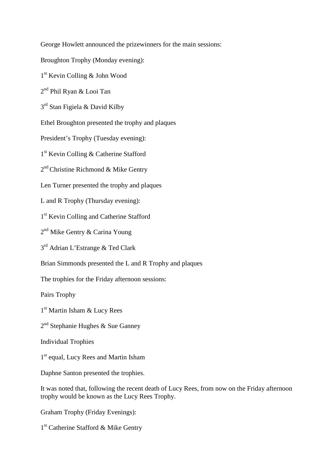George Howlett announced the prizewinners for the main sessions:

Broughton Trophy (Monday evening):

1 st Kevin Colling & John Wood

2 nd Phil Ryan & Looi Tan

3<sup>rd</sup> Stan Figiela & David Kilby

Ethel Broughton presented the trophy and plaques

President's Trophy (Tuesday evening):

1 st Kevin Colling & Catherine Stafford

2<sup>nd</sup> Christine Richmond & Mike Gentry

Len Turner presented the trophy and plaques

L and R Trophy (Thursday evening):

1 st Kevin Colling and Catherine Stafford

2<sup>nd</sup> Mike Gentry & Carina Young

3<sup>rd</sup> Adrian L'Estrange & Ted Clark

Brian Simmonds presented the L and R Trophy and plaques

The trophies for the Friday afternoon sessions:

Pairs Trophy

1 st Martin Isham & Lucy Rees

2<sup>nd</sup> Stephanie Hughes & Sue Ganney

Individual Trophies

1<sup>st</sup> equal, Lucy Rees and Martin Isham

Daphne Santon presented the trophies.

It was noted that, following the recent death of Lucy Rees, from now on the Friday afternoon trophy would be known as the Lucy Rees Trophy.

Graham Trophy (Friday Evenings):

1<sup>st</sup> Catherine Stafford & Mike Gentry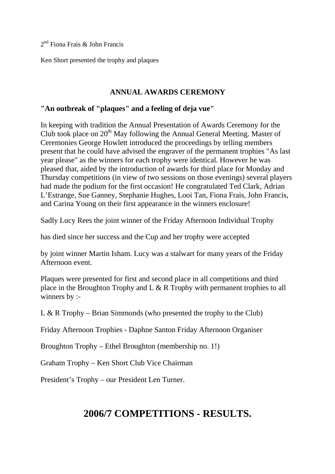2 nd Fiona Frais & John Francis

Ken Short presented the trophy and plaques

#### **ANNUAL AWARDS CEREMONY**

## **"An outbreak of "plaques" and a feeling of deja vue"**

In keeping with tradition the Annual Presentation of Awards Ceremony for the Club took place on  $20<sup>th</sup>$  May following the Annual General Meeting. Master of Ceremonies George Howlett introduced the proceedings by telling members present that he could have advised the engraver of the permanent trophies "As last year please" as the winners for each trophy were identical. However he was pleased that, aided by the introduction of awards for third place for Monday and Thursday competitions (in view of two sessions on those evenings) several players had made the podium for the first occasion! He congratulated Ted Clark, Adrian L'Estrange, Sue Ganney, Stephanie Hughes, Looi Tan, Fiona Frais, John Francis, and Carina Young on their first appearance in the winners enclosure!

Sadly Lucy Rees the joint winner of the Friday Afternoon Individual Trophy

has died since her success and the Cup and her trophy were accepted

by joint winner Martin Isham. Lucy was a stalwart for many years of the Friday Afternoon event.

Plaques were presented for first and second place in all competitions and third place in the Broughton Trophy and L & R Trophy with permanent trophies to all winners by :-

L & R Trophy – Brian Simmonds (who presented the trophy to the Club)

Friday Afternoon Trophies - Daphne Santon Friday Afternoon Organiser

Broughton Trophy – Ethel Broughton (membership no. 1!)

Graham Trophy – Ken Short Club Vice Chairman

President's Trophy – our President Len Turner.

# **2006/7 COMPETITIONS - RESULTS.**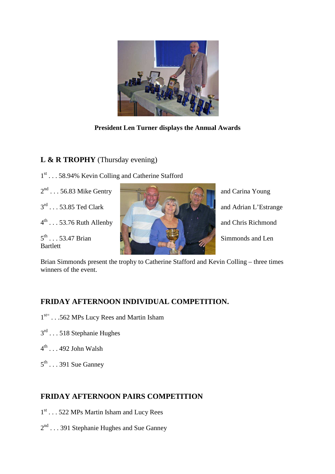

**President Len Turner displays the Annual Awards**

## **L & R TROPHY** (Thursday evening)

- 1<sup>st</sup> . . . 58.94% Kevin Colling and Catherine Stafford
- 
- $3^{\text{rd}}$  . . . 53.85 Ted Clark
- 

 $5^{\text{th}}$ ... 53.47 Brian **Bartlett** 



and Adrian L'Estrange Simmonds and Len

Brian Simmonds present the trophy to Catherine Stafford and Kevin Colling – three times winners of the event.

## **FRIDAY AFTERNOON INDIVIDUAL COMPETITION.**

- 1<sup>st=</sup> . . .562 MPs Lucy Rees and Martin Isham
- 3<sup>rd</sup> . . . 518 Stephanie Hughes
- $4^{\text{th}}$  . . . 492 John Walsh
- $5^{\text{th}}$  . . . 391 Sue Ganney

## **FRIDAY AFTERNOON PAIRS COMPETITION**

- 1<sup>st</sup> . . . 522 MPs Martin Isham and Lucy Rees
- 2<sup>nd</sup> . . . 391 Stephanie Hughes and Sue Ganney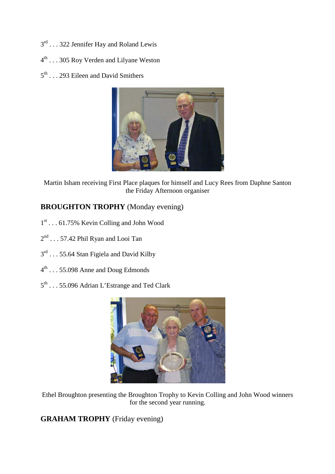- $3^{\text{rd}}$  . . . 322 Jennifer Hay and Roland Lewis
- 4<sup>th</sup> . . . 305 Roy Verden and Lilyane Weston
- $5<sup>th</sup>$ ... 293 Eileen and David Smithers



Martin Isham receiving First Place plaques for himself and Lucy Rees from Daphne Santon the Friday Afternoon organiser

## **BROUGHTON TROPHY** (Monday evening)

- 1 st . . . 61.75% Kevin Colling and John Wood
- $2^{nd} \dots 57.42$  Phil Ryan and Looi Tan
- 3<sup>rd</sup> . . . 55.64 Stan Figiela and David Kilby
- $4^{\text{th}}$  . . . 55.098 Anne and Doug Edmonds
- 5<sup>th</sup> . . . 55.096 Adrian L'Estrange and Ted Clark



Ethel Broughton presenting the Broughton Trophy to Kevin Colling and John Wood winners for the second year running.

**GRAHAM TROPHY** (Friday evening)